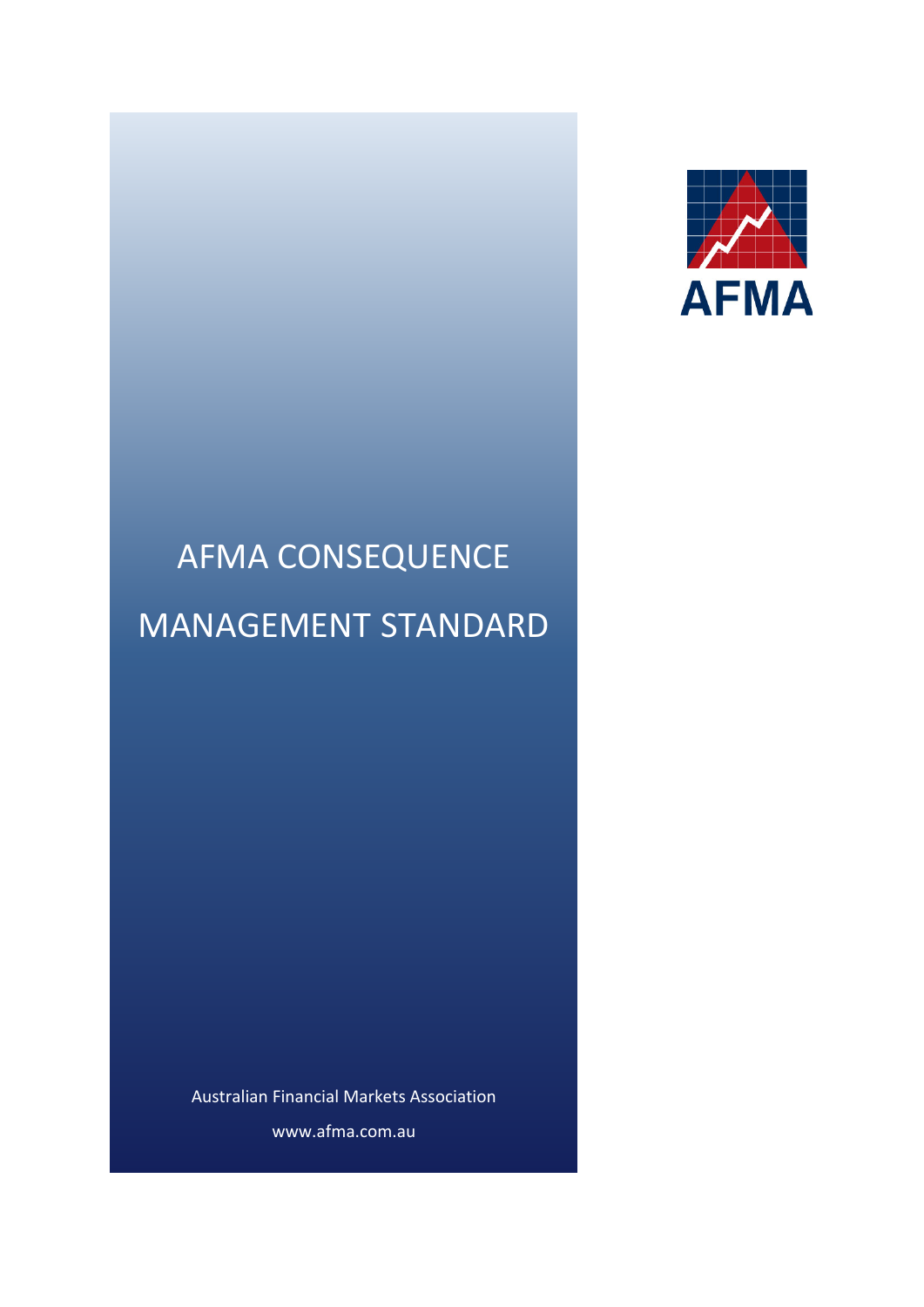

# AFMA CONSEQUENCE MANAGEMENT STANDARD

Australian Financial Markets Association www.afma.com.au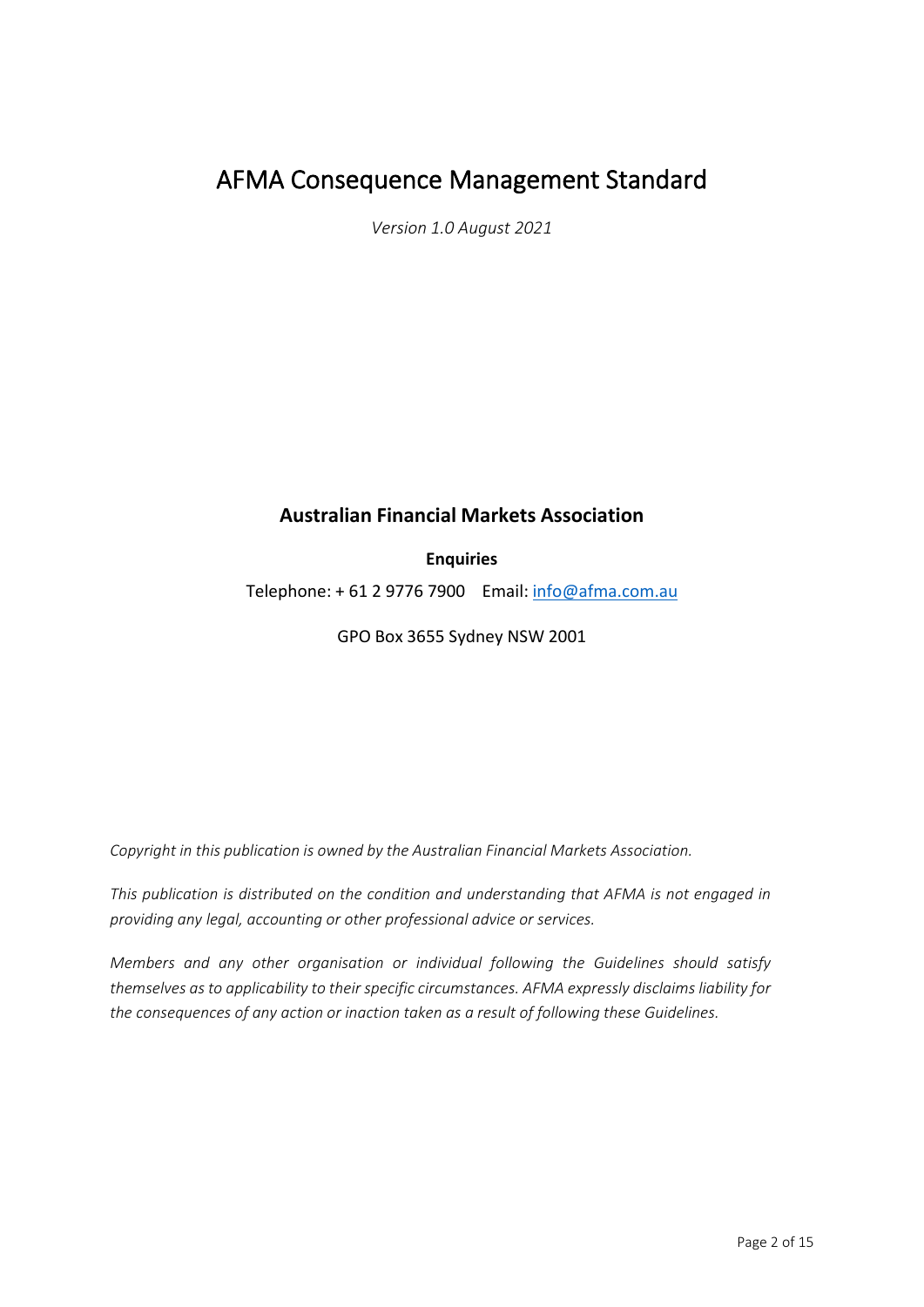# AFMA Consequence Management Standard

*Version 1.0 August 2021*

## **Australian Financial Markets Association**

**Enquiries**

Telephone: + 61 2 9776 7900 Email: [info@afma.com.au](mailto:info@afma.com.au)

GPO Box 3655 Sydney NSW 2001

*Copyright in this publication is owned by the Australian Financial Markets Association.*

*This publication is distributed on the condition and understanding that AFMA is not engaged in providing any legal, accounting or other professional advice or services.*

*Members and any other organisation or individual following the Guidelines should satisfy themselves as to applicability to their specific circumstances. AFMA expressly disclaims liability for the consequences of any action or inaction taken as a result of following these Guidelines.*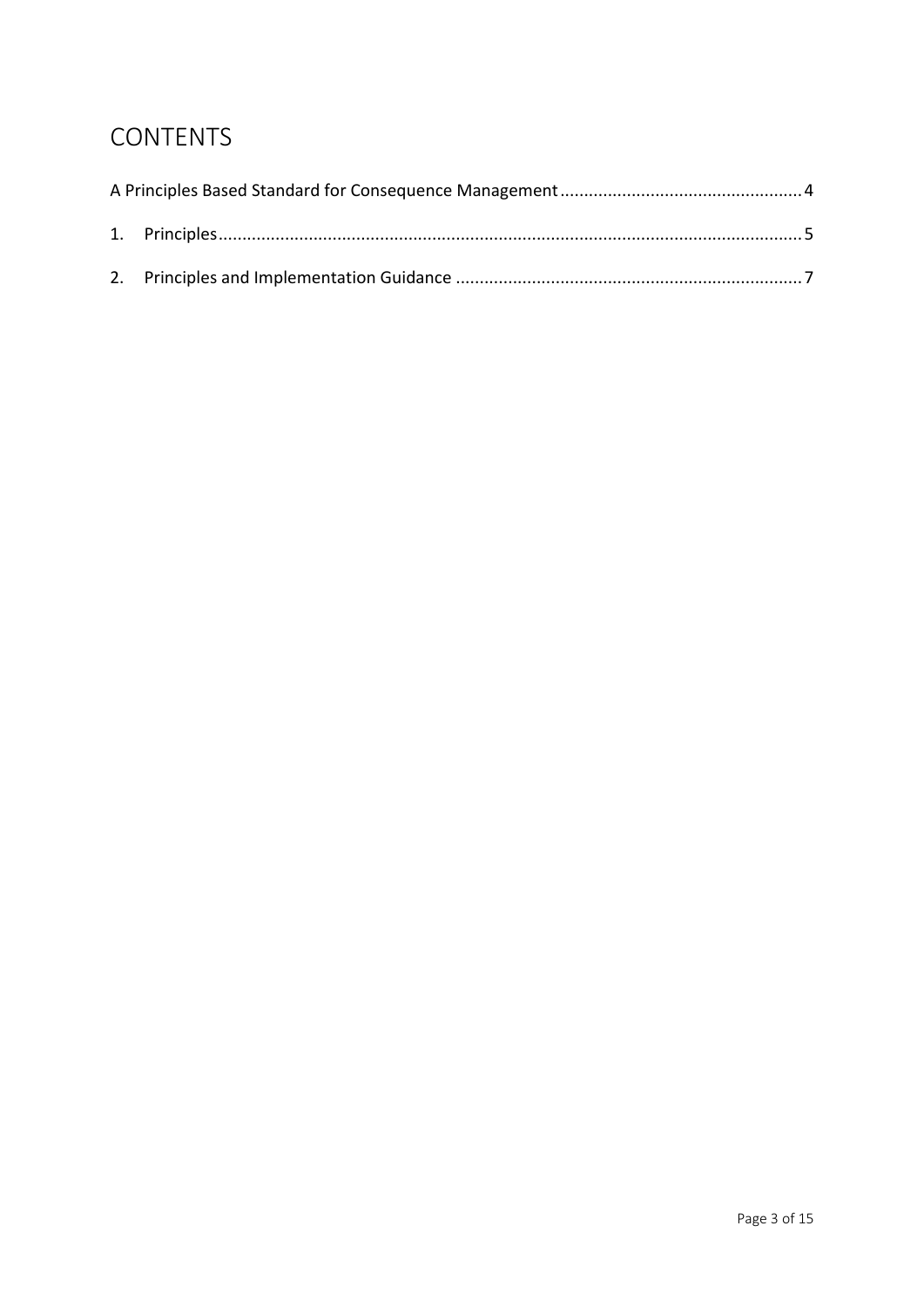# CONTENTS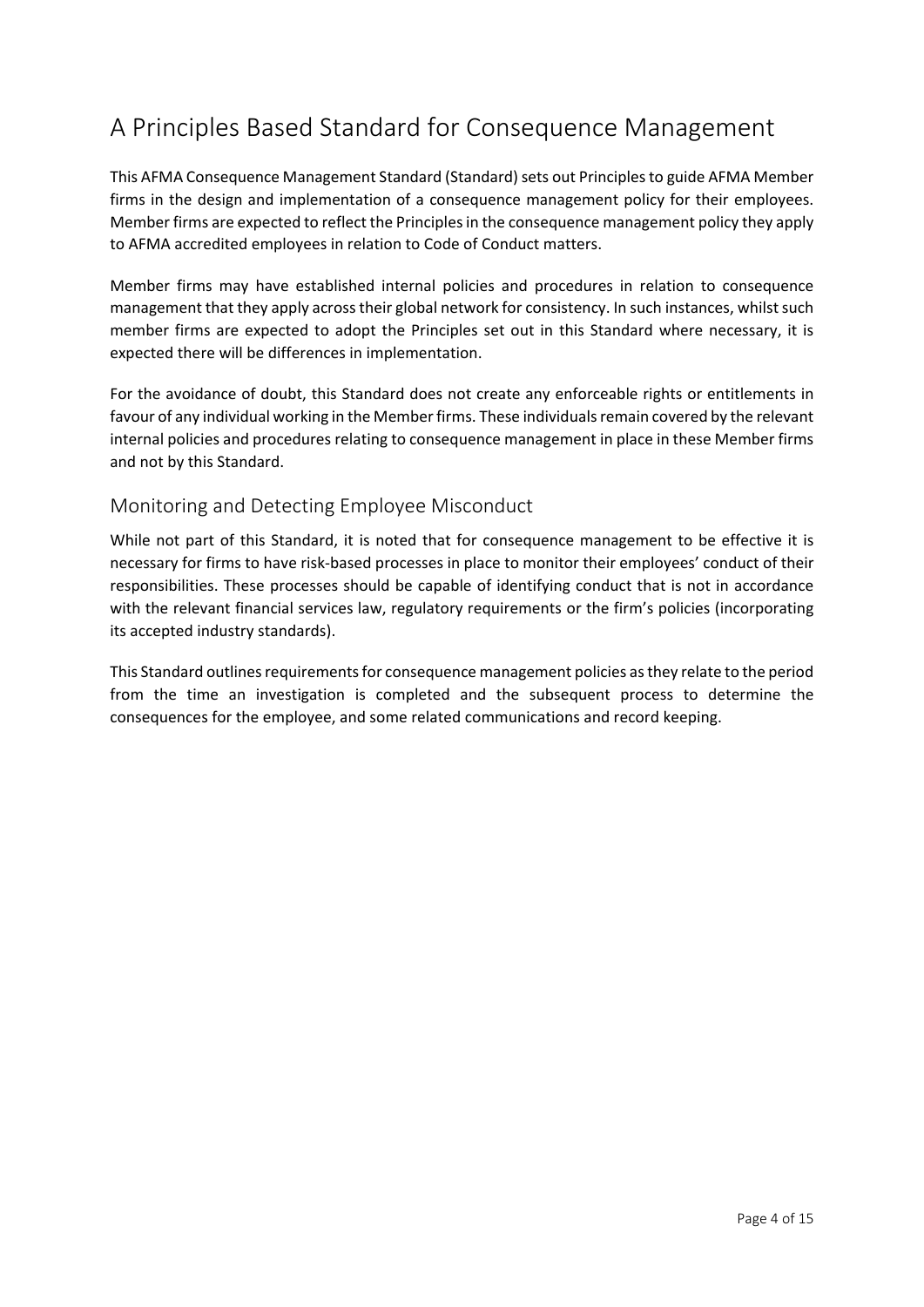# <span id="page-3-0"></span>A Principles Based Standard for Consequence Management

This AFMA Consequence Management Standard (Standard) sets out Principles to guide AFMA Member firms in the design and implementation of a consequence management policy for their employees. Member firms are expected to reflect the Principles in the consequence management policy they apply to AFMA accredited employees in relation to Code of Conduct matters.

Member firms may have established internal policies and procedures in relation to consequence management that they apply across their global network for consistency. In such instances, whilst such member firms are expected to adopt the Principles set out in this Standard where necessary, it is expected there will be differences in implementation.

For the avoidance of doubt, this Standard does not create any enforceable rights or entitlements in favour of any individual working in the Member firms. These individuals remain covered by the relevant internal policies and procedures relating to consequence management in place in these Member firms and not by this Standard.

## Monitoring and Detecting Employee Misconduct

While not part of this Standard, it is noted that for consequence management to be effective it is necessary for firms to have risk-based processes in place to monitor their employees' conduct of their responsibilities. These processes should be capable of identifying conduct that is not in accordance with the relevant financial services law, regulatory requirements or the firm's policies (incorporating its accepted industry standards).

This Standard outlines requirements for consequence management policies as they relate to the period from the time an investigation is completed and the subsequent process to determine the consequences for the employee, and some related communications and record keeping.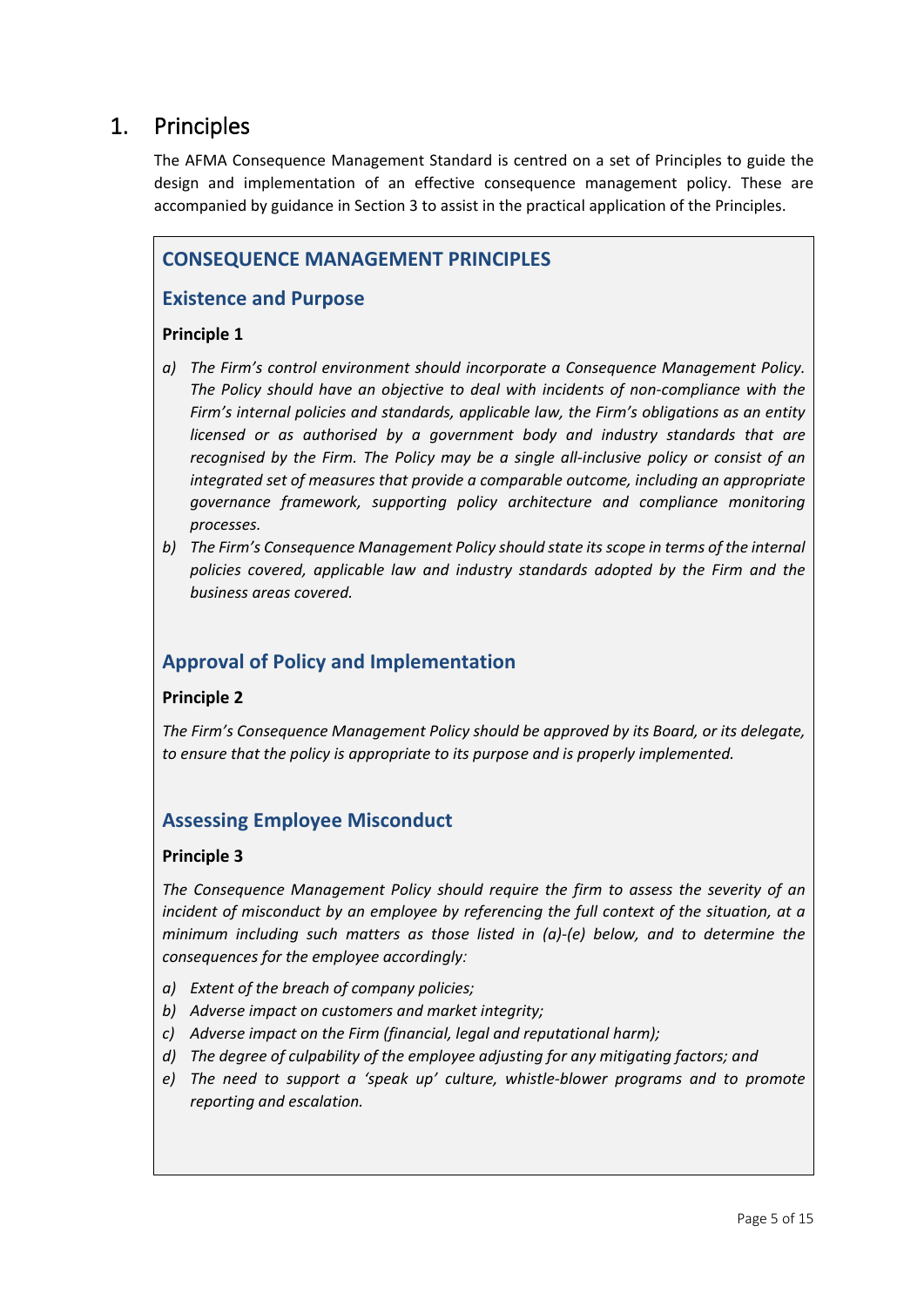## <span id="page-4-0"></span>1. Principles

The AFMA Consequence Management Standard is centred on a set of Principles to guide the design and implementation of an effective consequence management policy. These are accompanied by guidance in Section 3 to assist in the practical application of the Principles.

## **CONSEQUENCE MANAGEMENT PRINCIPLES**

#### **Existence and Purpose**

#### **Principle 1**

- *a) The Firm's control environment should incorporate a Consequence Management Policy. The Policy should have an objective to deal with incidents of non-compliance with the Firm's internal policies and standards, applicable law, the Firm's obligations as an entity licensed or as authorised by a government body and industry standards that are recognised by the Firm. The Policy may be a single all-inclusive policy or consist of an integrated set of measures that provide a comparable outcome, including an appropriate governance framework, supporting policy architecture and compliance monitoring processes.*
- *b) The Firm's Consequence Management Policy should state its scope in terms of the internal policies covered, applicable law and industry standards adopted by the Firm and the business areas covered.*

## **Approval of Policy and Implementation**

#### **Principle 2**

*The Firm's Consequence Management Policy should be approved by its Board, or its delegate, to ensure that the policy is appropriate to its purpose and is properly implemented.*

## **Assessing Employee Misconduct**

#### **Principle 3**

*The Consequence Management Policy should require the firm to assess the severity of an incident of misconduct by an employee by referencing the full context of the situation, at a minimum including such matters as those listed in (a)-(e) below, and to determine the consequences for the employee accordingly:*

- *a) Extent of the breach of company policies;*
- *b) Adverse impact on customers and market integrity;*
- *c) Adverse impact on the Firm (financial, legal and reputational harm);*
- *d) The degree of culpability of the employee adjusting for any mitigating factors; and*
- *e) The need to support a 'speak up' culture, whistle-blower programs and to promote reporting and escalation.*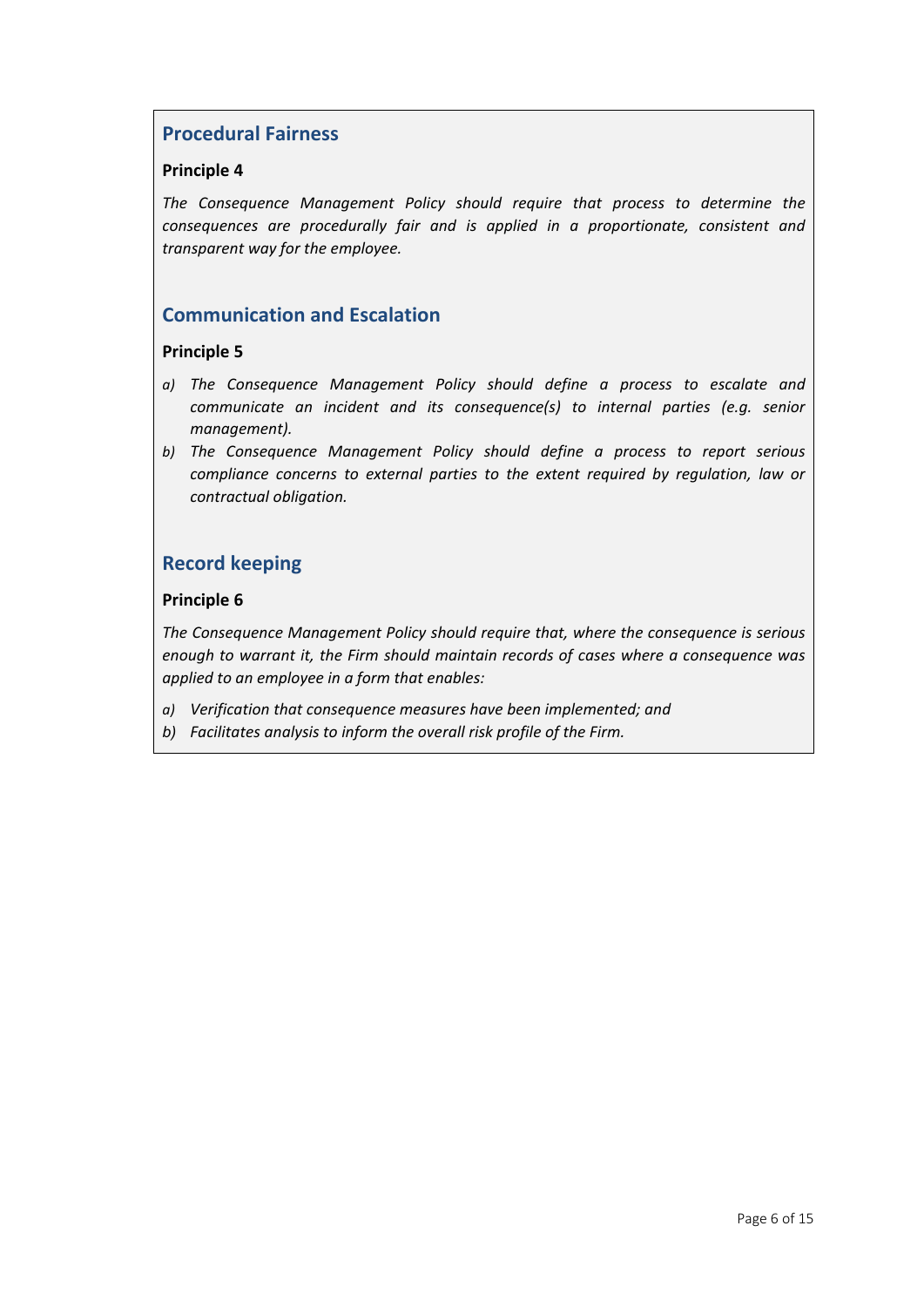## **Procedural Fairness**

#### **Principle 4**

*The Consequence Management Policy should require that process to determine the consequences are procedurally fair and is applied in a proportionate, consistent and transparent way for the employee.*

## **Communication and Escalation**

#### **Principle 5**

- *a) The Consequence Management Policy should define a process to escalate and communicate an incident and its consequence(s) to internal parties (e.g. senior management).*
- *b) The Consequence Management Policy should define a process to report serious compliance concerns to external parties to the extent required by regulation, law or contractual obligation.*

## **Record keeping**

#### **Principle 6**

*The Consequence Management Policy should require that, where the consequence is serious enough to warrant it, the Firm should maintain records of cases where a consequence was applied to an employee in a form that enables:*

- *a) Verification that consequence measures have been implemented; and*
- *b) Facilitates analysis to inform the overall risk profile of the Firm.*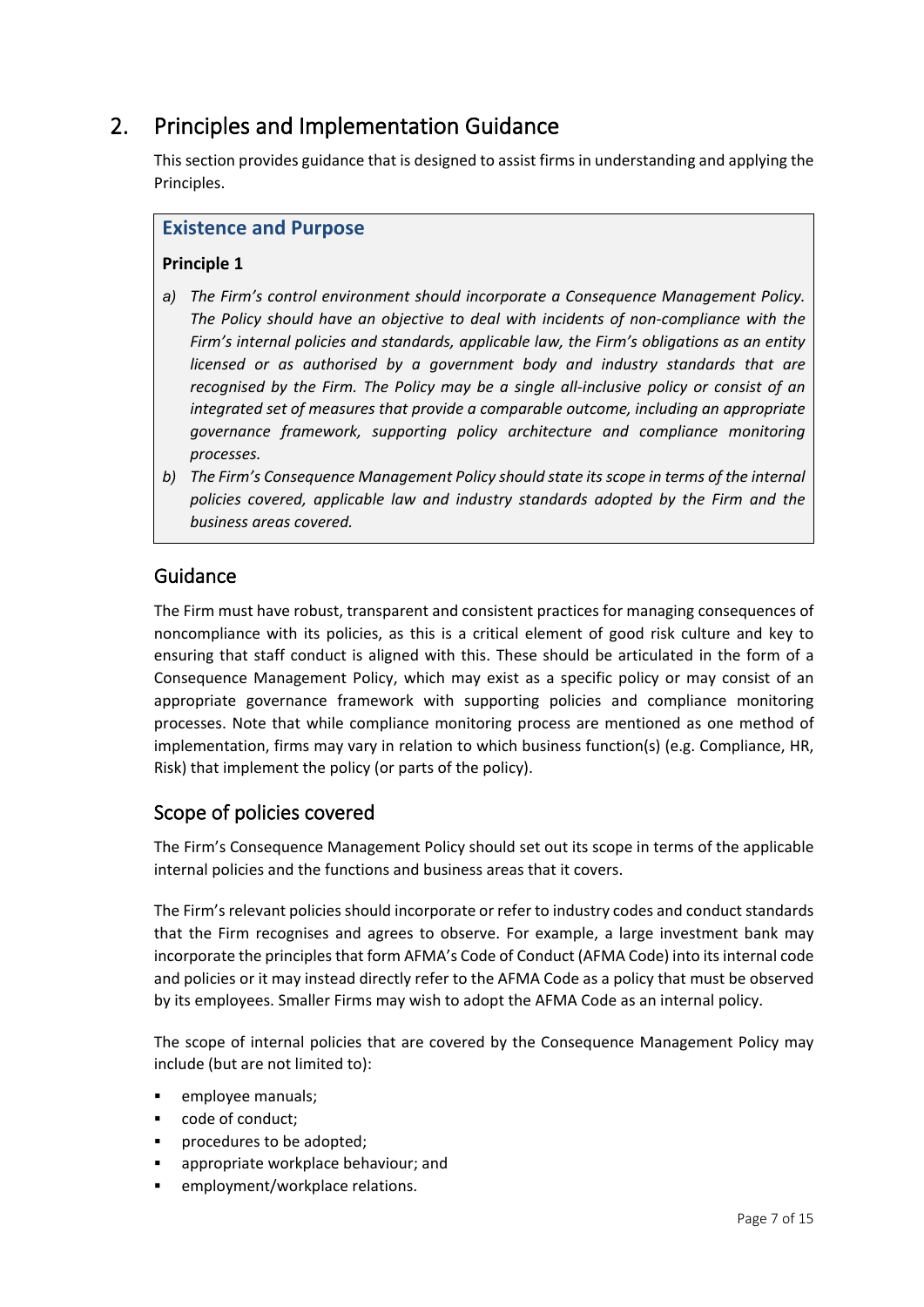## <span id="page-6-0"></span>2. Principles and Implementation Guidance

This section provides guidance that is designed to assist firms in understanding and applying the Principles.

#### **Existence and Purpose**

#### **Principle 1**

- *a) The Firm's control environment should incorporate a Consequence Management Policy. The Policy should have an objective to deal with incidents of non-compliance with the Firm's internal policies and standards, applicable law, the Firm's obligations as an entity licensed or as authorised by a government body and industry standards that are recognised by the Firm. The Policy may be a single all-inclusive policy or consist of an integrated set of measures that provide a comparable outcome, including an appropriate governance framework, supporting policy architecture and compliance monitoring processes.*
- *b) The Firm's Consequence Management Policy should state its scope in terms of the internal policies covered, applicable law and industry standards adopted by the Firm and the business areas covered.*

## Guidance

The Firm must have robust, transparent and consistent practices for managing consequences of noncompliance with its policies, as this is a critical element of good risk culture and key to ensuring that staff conduct is aligned with this. These should be articulated in the form of a Consequence Management Policy, which may exist as a specific policy or may consist of an appropriate governance framework with supporting policies and compliance monitoring processes. Note that while compliance monitoring process are mentioned as one method of implementation, firms may vary in relation to which business function(s) (e.g. Compliance, HR, Risk) that implement the policy (or parts of the policy).

## Scope of policies covered

The Firm's Consequence Management Policy should set out its scope in terms of the applicable internal policies and the functions and business areas that it covers.

The Firm's relevant policies should incorporate or refer to industry codes and conduct standards that the Firm recognises and agrees to observe. For example, a large investment bank may incorporate the principles that form AFMA's Code of Conduct (AFMA Code) into its internal code and policies or it may instead directly refer to the AFMA Code as a policy that must be observed by its employees. Smaller Firms may wish to adopt the AFMA Code as an internal policy.

The scope of internal policies that are covered by the Consequence Management Policy may include (but are not limited to):

- employee manuals;
- code of conduct;
- procedures to be adopted;
- appropriate workplace behaviour; and
- employment/workplace relations.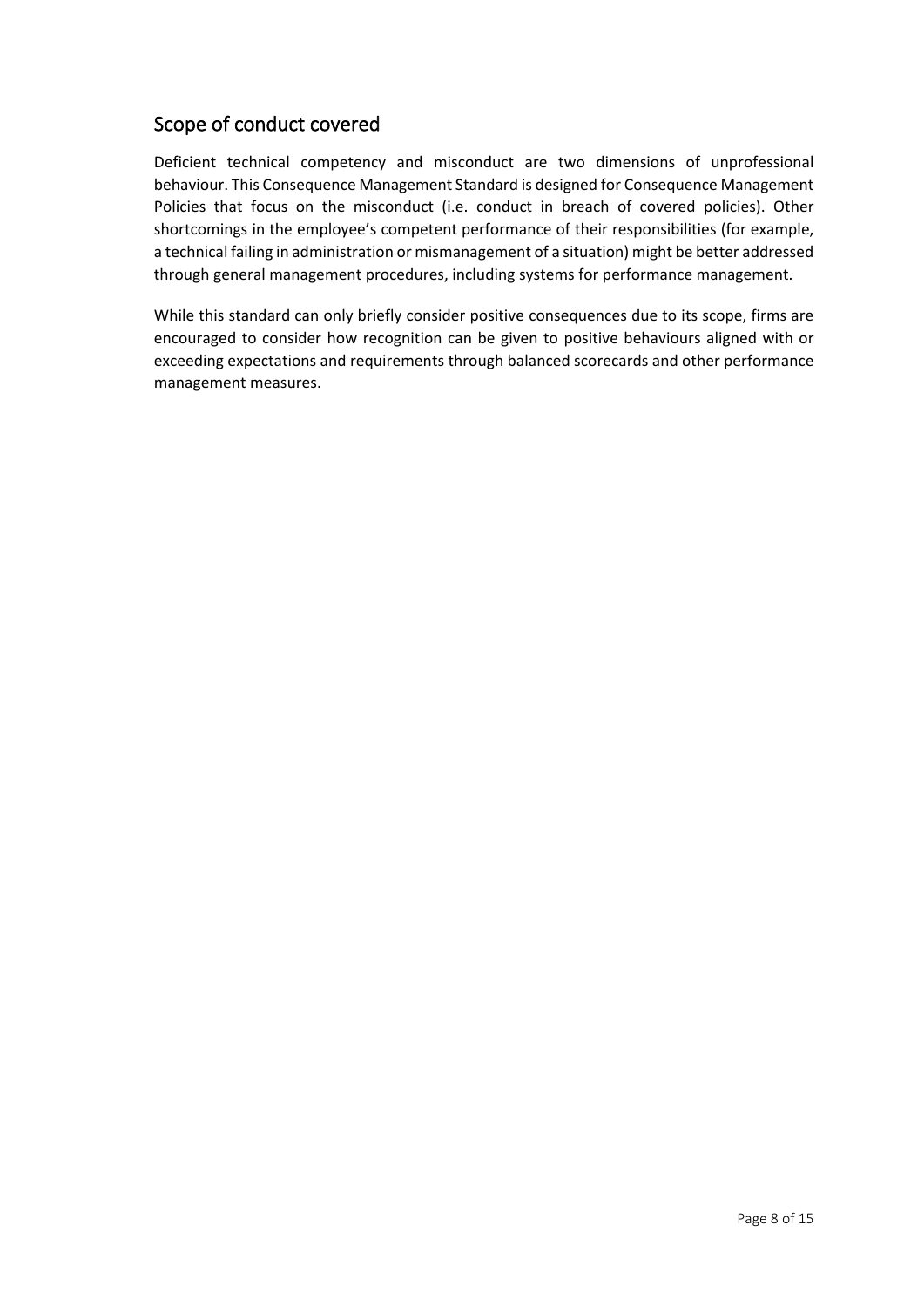## Scope of conduct covered

Deficient technical competency and misconduct are two dimensions of unprofessional behaviour. This Consequence Management Standard is designed for Consequence Management Policies that focus on the misconduct (i.e. conduct in breach of covered policies). Other shortcomings in the employee's competent performance of their responsibilities (for example, a technical failing in administration or mismanagement of a situation) might be better addressed through general management procedures, including systems for performance management.

While this standard can only briefly consider positive consequences due to its scope, firms are encouraged to consider how recognition can be given to positive behaviours aligned with or exceeding expectations and requirements through balanced scorecards and other performance management measures.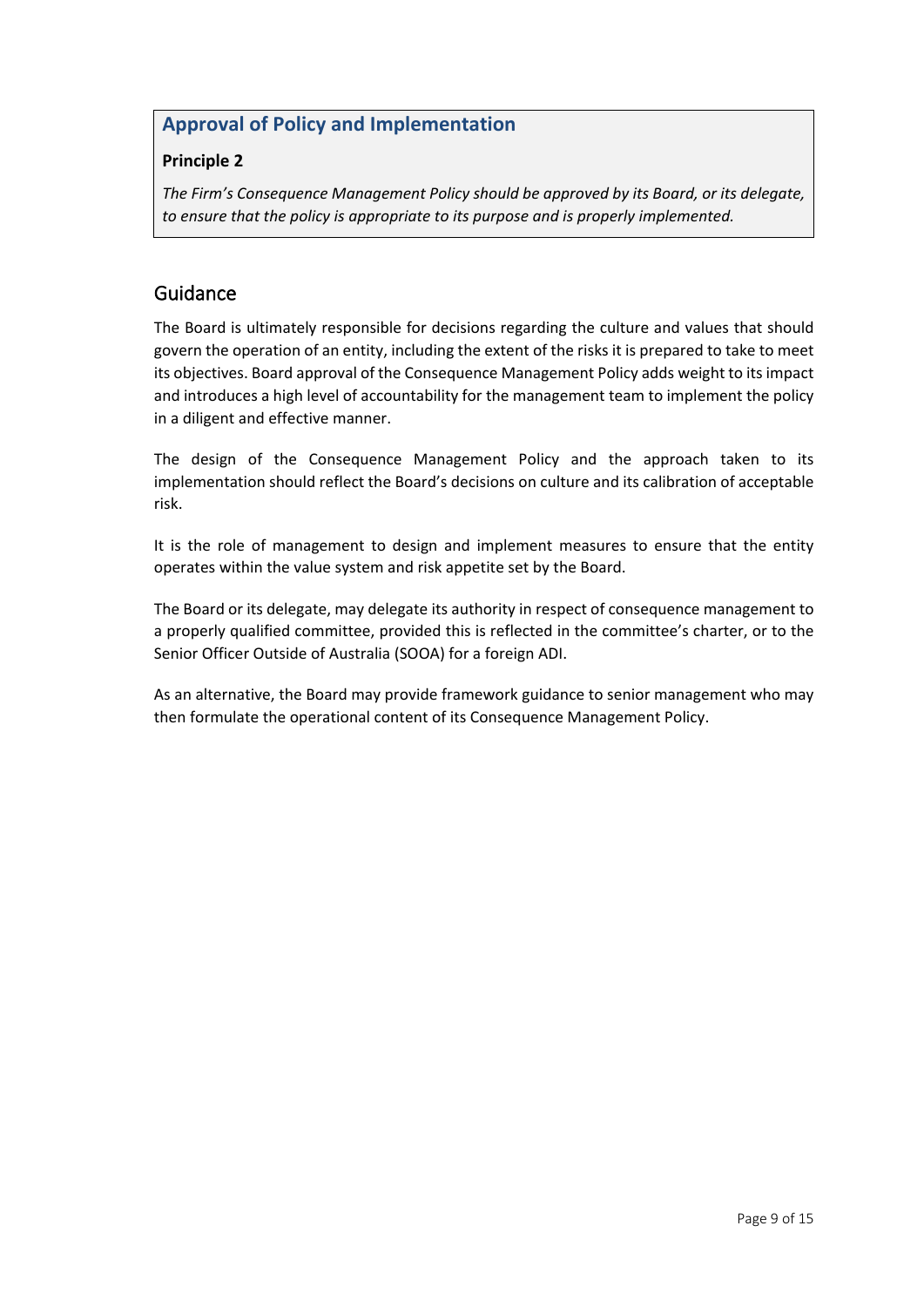## **Approval of Policy and Implementation**

#### **Principle 2**

*The Firm's Consequence Management Policy should be approved by its Board, or its delegate, to ensure that the policy is appropriate to its purpose and is properly implemented.*

## Guidance

The Board is ultimately responsible for decisions regarding the culture and values that should govern the operation of an entity, including the extent of the risks it is prepared to take to meet its objectives. Board approval of the Consequence Management Policy adds weight to its impact and introduces a high level of accountability for the management team to implement the policy in a diligent and effective manner.

The design of the Consequence Management Policy and the approach taken to its implementation should reflect the Board's decisions on culture and its calibration of acceptable risk.

It is the role of management to design and implement measures to ensure that the entity operates within the value system and risk appetite set by the Board.

The Board or its delegate, may delegate its authority in respect of consequence management to a properly qualified committee, provided this is reflected in the committee's charter, or to the Senior Officer Outside of Australia (SOOA) for a foreign ADI.

As an alternative, the Board may provide framework guidance to senior management who may then formulate the operational content of its Consequence Management Policy.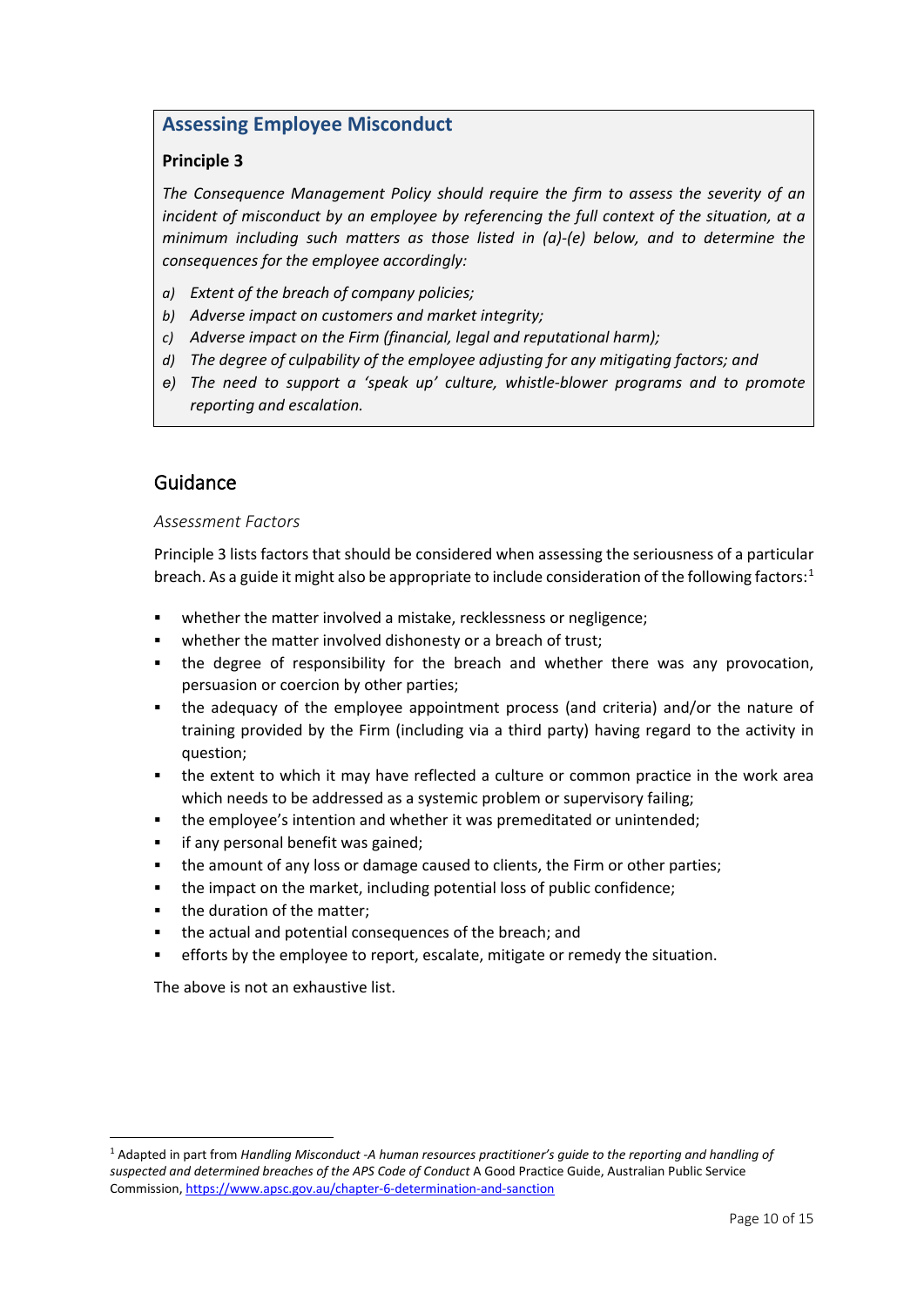## **Assessing Employee Misconduct**

#### **Principle 3**

*The Consequence Management Policy should require the firm to assess the severity of an incident of misconduct by an employee by referencing the full context of the situation, at a minimum including such matters as those listed in (a)-(e) below, and to determine the consequences for the employee accordingly:*

- *a) Extent of the breach of company policies;*
- *b) Adverse impact on customers and market integrity;*
- *c) Adverse impact on the Firm (financial, legal and reputational harm);*
- *d) The degree of culpability of the employee adjusting for any mitigating factors; and*
- *e) The need to support a 'speak up' culture, whistle-blower programs and to promote reporting and escalation.*

## Guidance

#### *Assessment Factors*

Principle 3 lists factors that should be considered when assessing the seriousness of a particular breach. As a guide it might also be appropriate to include consideration of the following factors:<sup>[1](#page-9-0)</sup>

- whether the matter involved a mistake, recklessness or negligence;
- whether the matter involved dishonesty or a breach of trust;
- the degree of responsibility for the breach and whether there was any provocation, persuasion or coercion by other parties;
- the adequacy of the employee appointment process (and criteria) and/or the nature of training provided by the Firm (including via a third party) having regard to the activity in question;
- the extent to which it may have reflected a culture or common practice in the work area which needs to be addressed as a systemic problem or supervisory failing;
- the employee's intention and whether it was premeditated or unintended;
- if any personal benefit was gained;
- the amount of any loss or damage caused to clients, the Firm or other parties;
- the impact on the market, including potential loss of public confidence;
- the duration of the matter;
- the actual and potential consequences of the breach; and
- efforts by the employee to report, escalate, mitigate or remedy the situation.

The above is not an exhaustive list.

<span id="page-9-0"></span><sup>1</sup> Adapted in part from *Handling Misconduct -A human resources practitioner's guide to the reporting and handling of suspected and determined breaches of the APS Code of Conduct* A Good Practice Guide, Australian Public Service Commission, [https://www.apsc.gov.au/chapter-6-determination-and-sanction](about:blank)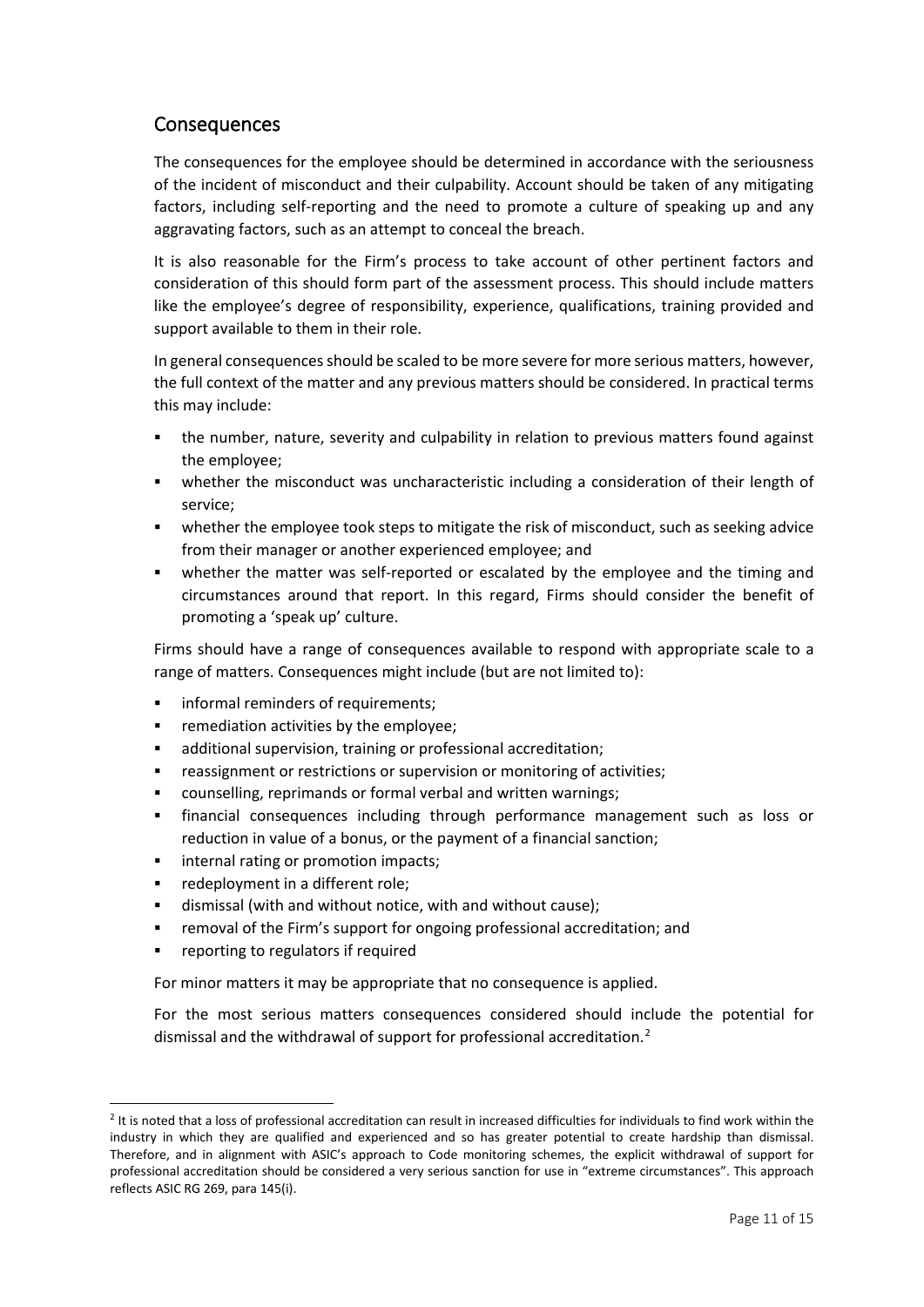## Consequences

The consequences for the employee should be determined in accordance with the seriousness of the incident of misconduct and their culpability. Account should be taken of any mitigating factors, including self-reporting and the need to promote a culture of speaking up and any aggravating factors, such as an attempt to conceal the breach.

It is also reasonable for the Firm's process to take account of other pertinent factors and consideration of this should form part of the assessment process. This should include matters like the employee's degree of responsibility, experience, qualifications, training provided and support available to them in their role.

In general consequences should be scaled to be more severe for more serious matters, however, the full context of the matter and any previous matters should be considered. In practical terms this may include:

- the number, nature, severity and culpability in relation to previous matters found against the employee;
- whether the misconduct was uncharacteristic including a consideration of their length of service;
- whether the employee took steps to mitigate the risk of misconduct, such as seeking advice from their manager or another experienced employee; and
- whether the matter was self-reported or escalated by the employee and the timing and circumstances around that report. In this regard, Firms should consider the benefit of promoting a 'speak up' culture.

Firms should have a range of consequences available to respond with appropriate scale to a range of matters. Consequences might include (but are not limited to):

- informal reminders of requirements;
- remediation activities by the employee;
- additional supervision, training or professional accreditation;
- reassignment or restrictions or supervision or monitoring of activities;
- counselling, reprimands or formal verbal and written warnings;
- financial consequences including through performance management such as loss or reduction in value of a bonus, or the payment of a financial sanction;
- internal rating or promotion impacts;
- redeployment in a different role;
- dismissal (with and without notice, with and without cause);
- removal of the Firm's support for ongoing professional accreditation; and
- reporting to regulators if required

For minor matters it may be appropriate that no consequence is applied.

For the most serious matters consequences considered should include the potential for dismissal and the withdrawal of support for professional accreditation.[2](#page-10-0)

<span id="page-10-0"></span> $<sup>2</sup>$  It is noted that a loss of professional accreditation can result in increased difficulties for individuals to find work within the</sup> industry in which they are qualified and experienced and so has greater potential to create hardship than dismissal. Therefore, and in alignment with ASIC's approach to Code monitoring schemes, the explicit withdrawal of support for professional accreditation should be considered a very serious sanction for use in "extreme circumstances". This approach reflects ASIC RG 269, para 145(i).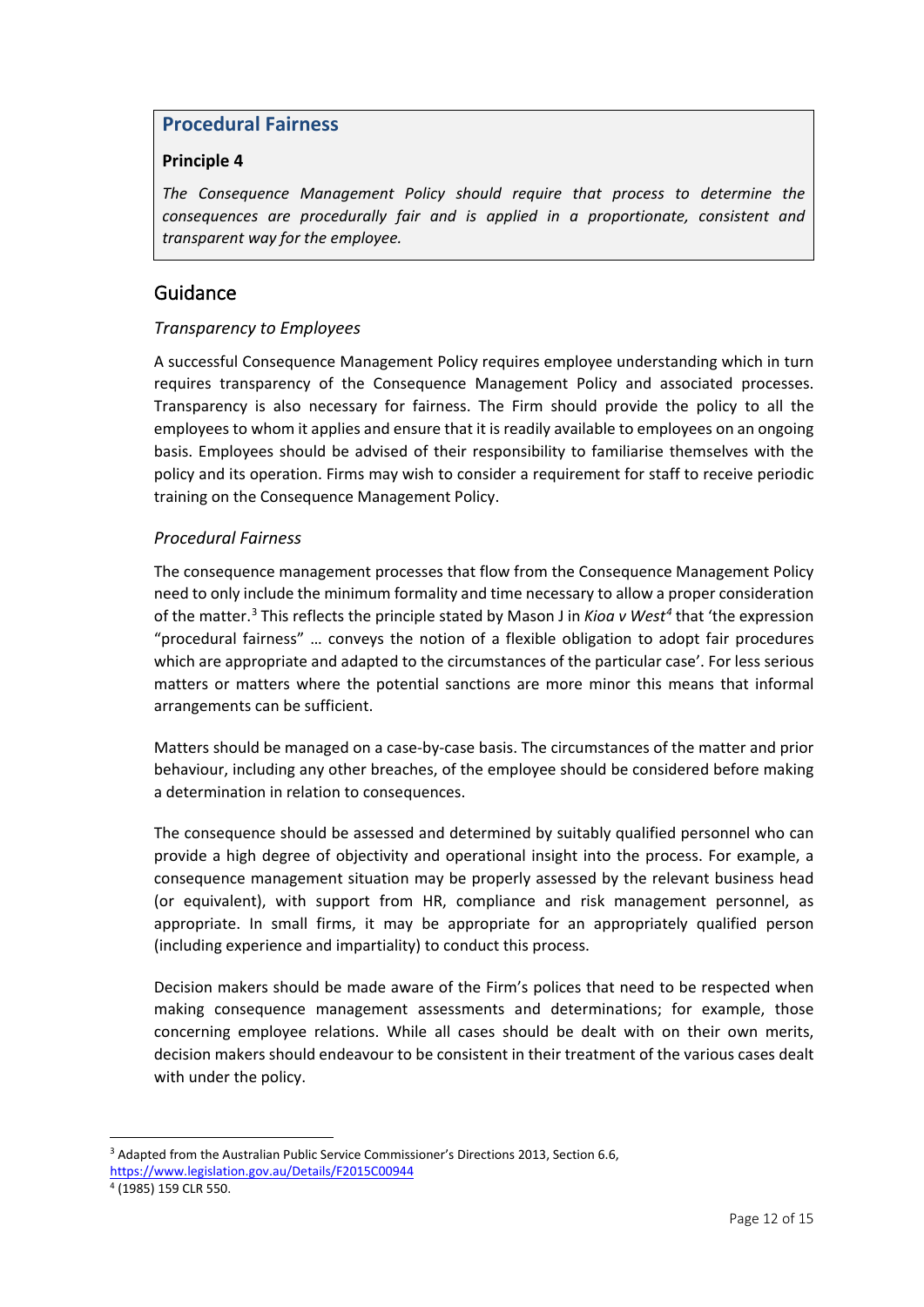## **Procedural Fairness**

#### **Principle 4**

*The Consequence Management Policy should require that process to determine the consequences are procedurally fair and is applied in a proportionate, consistent and transparent way for the employee.*

## Guidance

#### *Transparency to Employees*

A successful Consequence Management Policy requires employee understanding which in turn requires transparency of the Consequence Management Policy and associated processes. Transparency is also necessary for fairness. The Firm should provide the policy to all the employees to whom it applies and ensure that it is readily available to employees on an ongoing basis. Employees should be advised of their responsibility to familiarise themselves with the policy and its operation. Firms may wish to consider a requirement for staff to receive periodic training on the Consequence Management Policy.

#### *Procedural Fairness*

The consequence management processes that flow from the Consequence Management Policy need to only include the minimum formality and time necessary to allow a proper consideration of the matter.[3](#page-11-0) This reflects the principle stated by Mason J in *Kioa v West[4](#page-11-1)* that 'the expression "procedural fairness" … conveys the notion of a flexible obligation to adopt fair procedures which are appropriate and adapted to the circumstances of the particular case'. For less serious matters or matters where the potential sanctions are more minor this means that informal arrangements can be sufficient.

Matters should be managed on a case-by-case basis. The circumstances of the matter and prior behaviour, including any other breaches, of the employee should be considered before making a determination in relation to consequences.

The consequence should be assessed and determined by suitably qualified personnel who can provide a high degree of objectivity and operational insight into the process. For example, a consequence management situation may be properly assessed by the relevant business head (or equivalent), with support from HR, compliance and risk management personnel, as appropriate. In small firms, it may be appropriate for an appropriately qualified person (including experience and impartiality) to conduct this process.

Decision makers should be made aware of the Firm's polices that need to be respected when making consequence management assessments and determinations; for example, those concerning employee relations. While all cases should be dealt with on their own merits, decision makers should endeavour to be consistent in their treatment of the various cases dealt with under the policy.

<span id="page-11-0"></span><sup>&</sup>lt;sup>3</sup> Adapted from the Australian Public Service Commissioner's Directions 2013, Section 6.6,

<span id="page-11-1"></span>[https://www.legislation.gov.au/Details/F2015C00944](about:blank)

<sup>4</sup> (1985) 159 CLR 550.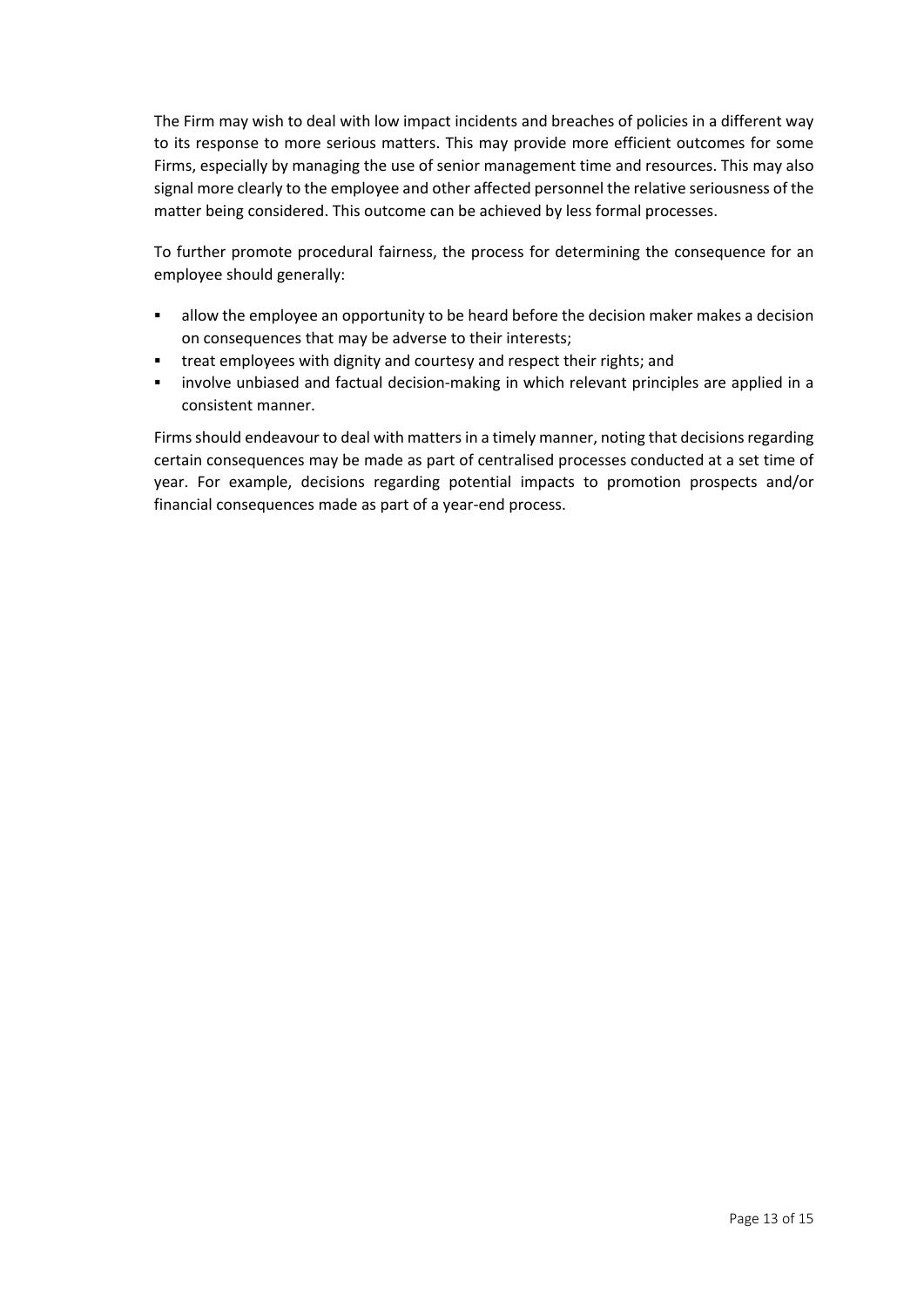The Firm may wish to deal with low impact incidents and breaches of policies in a different way to its response to more serious matters. This may provide more efficient outcomes for some Firms, especially by managing the use of senior management time and resources. This may also signal more clearly to the employee and other affected personnel the relative seriousness of the matter being considered. This outcome can be achieved by less formal processes.

To further promote procedural fairness, the process for determining the consequence for an employee should generally:

- allow the employee an opportunity to be heard before the decision maker makes a decision on consequences that may be adverse to their interests;
- treat employees with dignity and courtesy and respect their rights; and
- involve unbiased and factual decision-making in which relevant principles are applied in a consistent manner.

Firms should endeavour to deal with matters in a timely manner, noting that decisions regarding certain consequences may be made as part of centralised processes conducted at a set time of year. For example, decisions regarding potential impacts to promotion prospects and/or financial consequences made as part of a year-end process.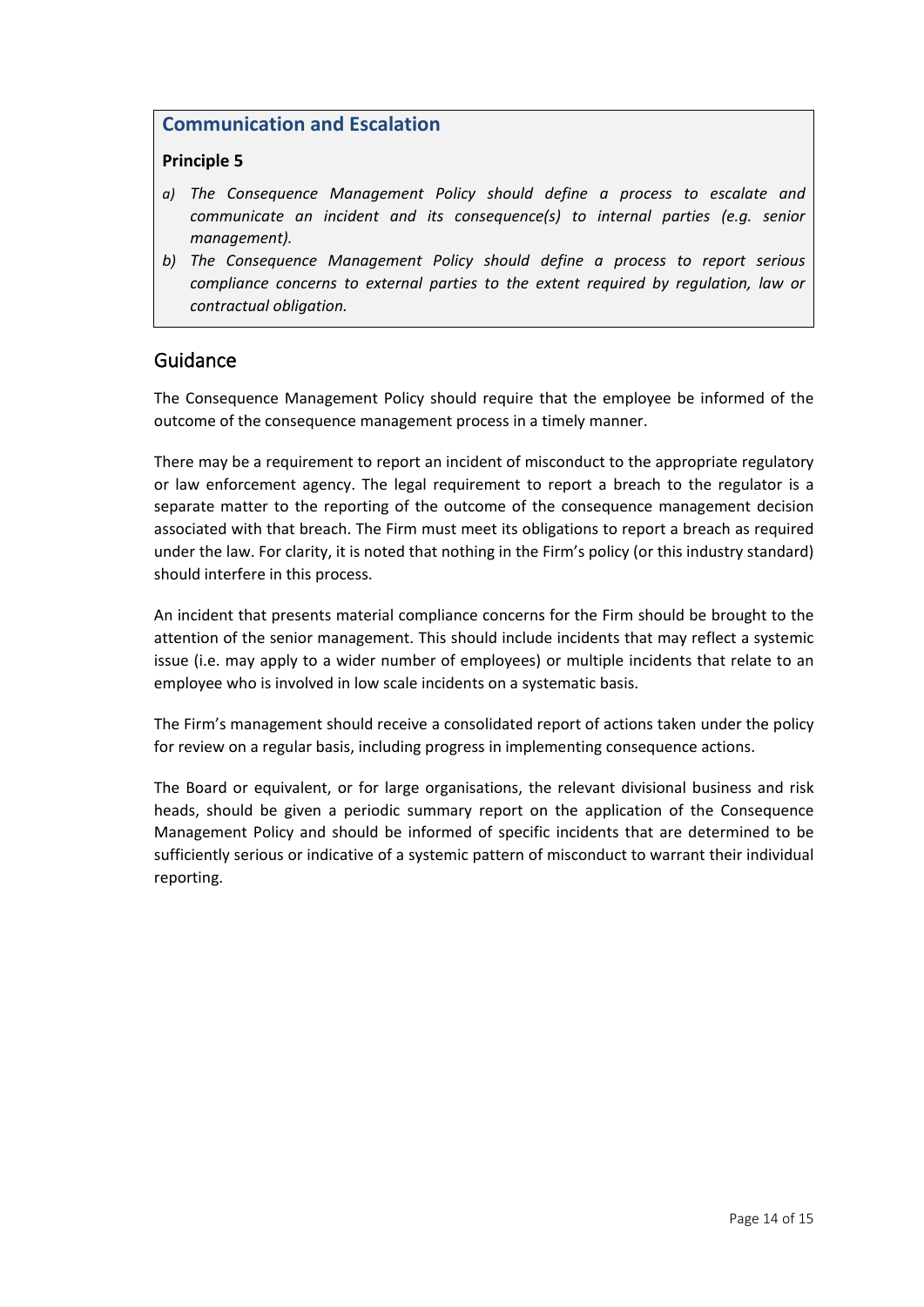## **Communication and Escalation**

#### **Principle 5**

- *a) The Consequence Management Policy should define a process to escalate and communicate an incident and its consequence(s) to internal parties (e.g. senior management).*
- *b) The Consequence Management Policy should define a process to report serious compliance concerns to external parties to the extent required by regulation, law or contractual obligation.*

## Guidance

The Consequence Management Policy should require that the employee be informed of the outcome of the consequence management process in a timely manner.

There may be a requirement to report an incident of misconduct to the appropriate regulatory or law enforcement agency. The legal requirement to report a breach to the regulator is a separate matter to the reporting of the outcome of the consequence management decision associated with that breach. The Firm must meet its obligations to report a breach as required under the law. For clarity, it is noted that nothing in the Firm's policy (or this industry standard) should interfere in this process.

An incident that presents material compliance concerns for the Firm should be brought to the attention of the senior management. This should include incidents that may reflect a systemic issue (i.e. may apply to a wider number of employees) or multiple incidents that relate to an employee who is involved in low scale incidents on a systematic basis.

The Firm's management should receive a consolidated report of actions taken under the policy for review on a regular basis, including progress in implementing consequence actions.

The Board or equivalent, or for large organisations, the relevant divisional business and risk heads, should be given a periodic summary report on the application of the Consequence Management Policy and should be informed of specific incidents that are determined to be sufficiently serious or indicative of a systemic pattern of misconduct to warrant their individual reporting.